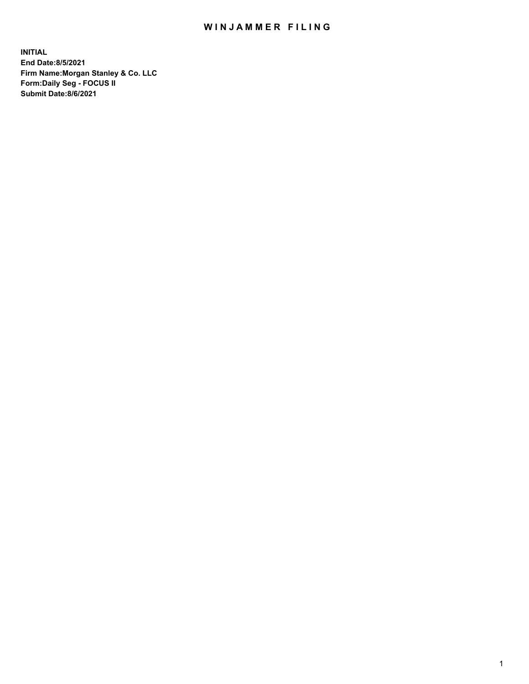## WIN JAMMER FILING

**INITIAL End Date:8/5/2021 Firm Name:Morgan Stanley & Co. LLC Form:Daily Seg - FOCUS II Submit Date:8/6/2021**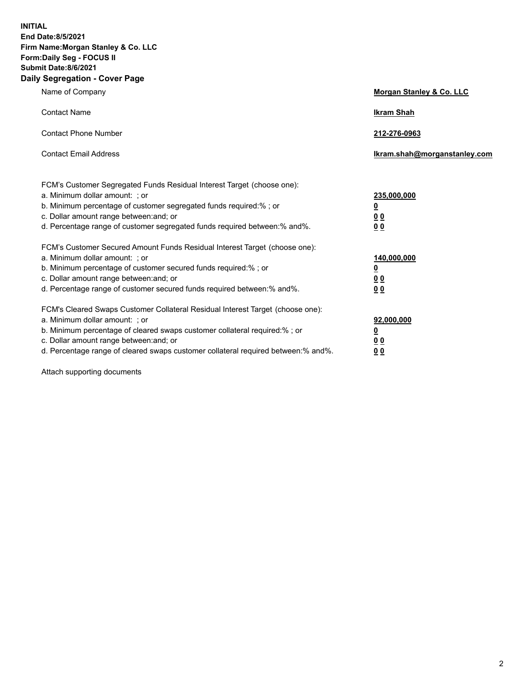**INITIAL End Date:8/5/2021 Firm Name:Morgan Stanley & Co. LLC Form:Daily Seg - FOCUS II Submit Date:8/6/2021 Daily Segregation - Cover Page**

| Name of Company                                                                                                                                                                                                                                                                                                               | Morgan Stanley & Co. LLC                        |
|-------------------------------------------------------------------------------------------------------------------------------------------------------------------------------------------------------------------------------------------------------------------------------------------------------------------------------|-------------------------------------------------|
| <b>Contact Name</b>                                                                                                                                                                                                                                                                                                           | <b>Ikram Shah</b>                               |
| <b>Contact Phone Number</b>                                                                                                                                                                                                                                                                                                   | 212-276-0963                                    |
| <b>Contact Email Address</b>                                                                                                                                                                                                                                                                                                  | Ikram.shah@morganstanley.com                    |
| FCM's Customer Segregated Funds Residual Interest Target (choose one):<br>a. Minimum dollar amount: ; or<br>b. Minimum percentage of customer segregated funds required:% ; or<br>c. Dollar amount range between: and; or<br>d. Percentage range of customer segregated funds required between:% and%.                        | 235,000,000<br><u>0</u><br>0 Q<br>0 Q           |
| FCM's Customer Secured Amount Funds Residual Interest Target (choose one):<br>a. Minimum dollar amount: ; or<br>b. Minimum percentage of customer secured funds required:%; or<br>c. Dollar amount range between: and; or<br>d. Percentage range of customer secured funds required between: % and %.                         | 140,000,000<br><u>0</u><br><u>0 0</u><br>0 Q    |
| FCM's Cleared Swaps Customer Collateral Residual Interest Target (choose one):<br>a. Minimum dollar amount: ; or<br>b. Minimum percentage of cleared swaps customer collateral required:%; or<br>c. Dollar amount range between: and; or<br>d. Percentage range of cleared swaps customer collateral required between:% and%. | 92,000,000<br><u>0</u><br>0 Q<br>0 <sub>0</sub> |

Attach supporting documents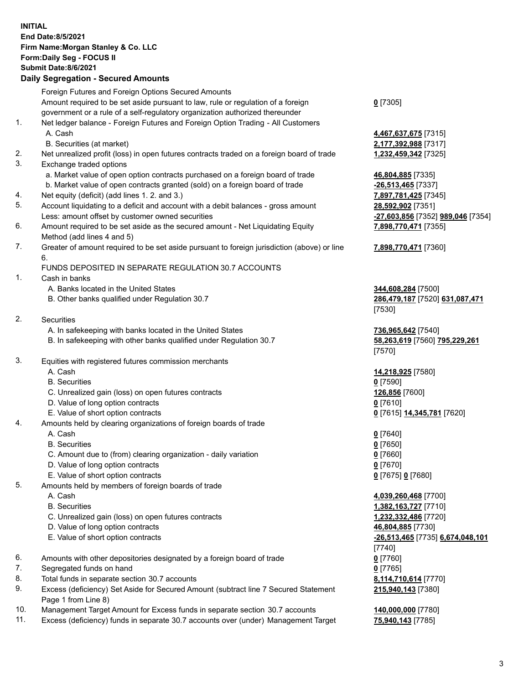## **INITIAL End Date:8/5/2021 Firm Name:Morgan Stanley & Co. LLC Form:Daily Seg - FOCUS II Submit Date:8/6/2021 Daily Segregation - Secured Amounts**

Foreign Futures and Foreign Options Secured Amounts Amount required to be set aside pursuant to law, rule or regulation of a foreign government or a rule of a self-regulatory organization authorized thereunder **0** [7305] 1. Net ledger balance - Foreign Futures and Foreign Option Trading - All Customers A. Cash **4,467,637,675** [7315] B. Securities (at market) **2,177,392,988** [7317] 2. Net unrealized profit (loss) in open futures contracts traded on a foreign board of trade **1,232,459,342** [7325] 3. Exchange traded options a. Market value of open option contracts purchased on a foreign board of trade **46,804,885** [7335] b. Market value of open contracts granted (sold) on a foreign board of trade **-26,513,465** [7337] 4. Net equity (deficit) (add lines 1. 2. and 3.) **7,897,781,425** [7345] 5. Account liquidating to a deficit and account with a debit balances - gross amount **28,592,902** [7351] Less: amount offset by customer owned securities **-27,603,856** [7352] **989,046** [7354] 6. Amount required to be set aside as the secured amount - Net Liquidating Equity Method (add lines 4 and 5) 7. Greater of amount required to be set aside pursuant to foreign jurisdiction (above) or line 6. FUNDS DEPOSITED IN SEPARATE REGULATION 30.7 ACCOUNTS 1. Cash in banks A. Banks located in the United States **344,608,284** [7500] B. Other banks qualified under Regulation 30.7 **286,479,187** [7520] **631,087,471** 2. Securities A. In safekeeping with banks located in the United States **736,965,642** [7540] B. In safekeeping with other banks qualified under Regulation 30.7 **58,263,619** [7560] **795,229,261** 3. Equities with registered futures commission merchants A. Cash **14,218,925** [7580] B. Securities **0** [7590] C. Unrealized gain (loss) on open futures contracts **126,856** [7600] D. Value of long option contracts **0** [7610] E. Value of short option contracts **0** [7615] **14,345,781** [7620] 4. Amounts held by clearing organizations of foreign boards of trade A. Cash **0** [7640] B. Securities **0** [7650] C. Amount due to (from) clearing organization - daily variation **0** [7660] D. Value of long option contracts **0** [7670] E. Value of short option contracts **0** [7675] **0** [7680] 5. Amounts held by members of foreign boards of trade A. Cash **4,039,260,468** [7700] B. Securities **1,382,163,727** [7710] C. Unrealized gain (loss) on open futures contracts **1,232,332,486** [7720] D. Value of long option contracts **46,804,885** [7730] E. Value of short option contracts **-26,513,465** [7735] **6,674,048,101** 6. Amounts with other depositories designated by a foreign board of trade **0** [7760] 7. Segregated funds on hand **0** [7765] 8. Total funds in separate section 30.7 accounts **8,114,710,614** [7770] 9. Excess (deficiency) Set Aside for Secured Amount (subtract line 7 Secured Statement Page 1 from Line 8)

- 10. Management Target Amount for Excess funds in separate section 30.7 accounts **140,000,000** [7780]
- 11. Excess (deficiency) funds in separate 30.7 accounts over (under) Management Target **75,940,143** [7785]

**7,898,770,471** [7355]

## **7,898,770,471** [7360]

[7530]

[7570]

[7740] **215,940,143** [7380]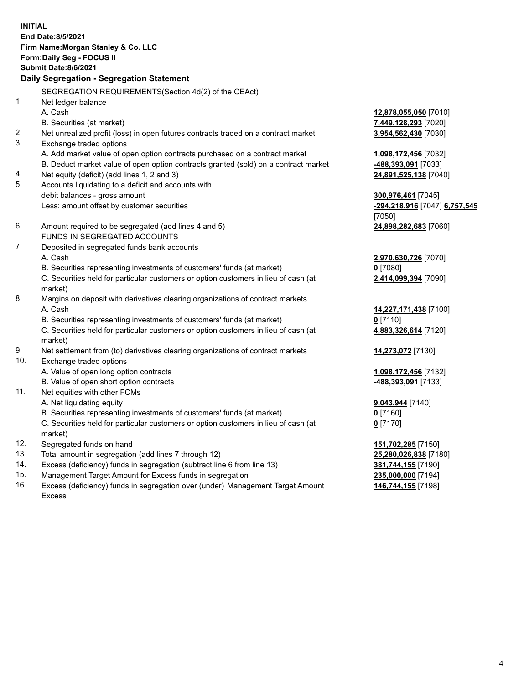**INITIAL End Date:8/5/2021 Firm Name:Morgan Stanley & Co. LLC Form:Daily Seg - FOCUS II Submit Date:8/6/2021 Daily Segregation - Segregation Statement** SEGREGATION REQUIREMENTS(Section 4d(2) of the CEAct) 1. Net ledger balance A. Cash **12,878,055,050** [7010] B. Securities (at market) **7,449,128,293** [7020] 2. Net unrealized profit (loss) in open futures contracts traded on a contract market **3,954,562,430** [7030] 3. Exchange traded options A. Add market value of open option contracts purchased on a contract market **1,098,172,456** [7032] B. Deduct market value of open option contracts granted (sold) on a contract market **-488,393,091** [7033] 4. Net equity (deficit) (add lines 1, 2 and 3) **24,891,525,138** [7040] 5. Accounts liquidating to a deficit and accounts with debit balances - gross amount **300,976,461** [7045] Less: amount offset by customer securities **-294,218,916** [7047] **6,757,545** [7050] 6. Amount required to be segregated (add lines 4 and 5) **24,898,282,683** [7060] FUNDS IN SEGREGATED ACCOUNTS 7. Deposited in segregated funds bank accounts A. Cash **2,970,630,726** [7070] B. Securities representing investments of customers' funds (at market) **0** [7080] C. Securities held for particular customers or option customers in lieu of cash (at market) **2,414,099,394** [7090] 8. Margins on deposit with derivatives clearing organizations of contract markets A. Cash **14,227,171,438** [7100] B. Securities representing investments of customers' funds (at market) **0** [7110] C. Securities held for particular customers or option customers in lieu of cash (at market) **4,883,326,614** [7120] 9. Net settlement from (to) derivatives clearing organizations of contract markets **14,273,072** [7130] 10. Exchange traded options A. Value of open long option contracts **1,098,172,456** [7132] B. Value of open short option contracts **-488,393,091** [7133] 11. Net equities with other FCMs A. Net liquidating equity **9,043,944** [7140] B. Securities representing investments of customers' funds (at market) **0** [7160] C. Securities held for particular customers or option customers in lieu of cash (at market) **0** [7170] 12. Segregated funds on hand **151,702,285** [7150] 13. Total amount in segregation (add lines 7 through 12) **25,280,026,838** [7180] 14. Excess (deficiency) funds in segregation (subtract line 6 from line 13) **381,744,155** [7190] 15. Management Target Amount for Excess funds in segregation **235,000,000** [7194]

16. Excess (deficiency) funds in segregation over (under) Management Target Amount Excess

**146,744,155** [7198]